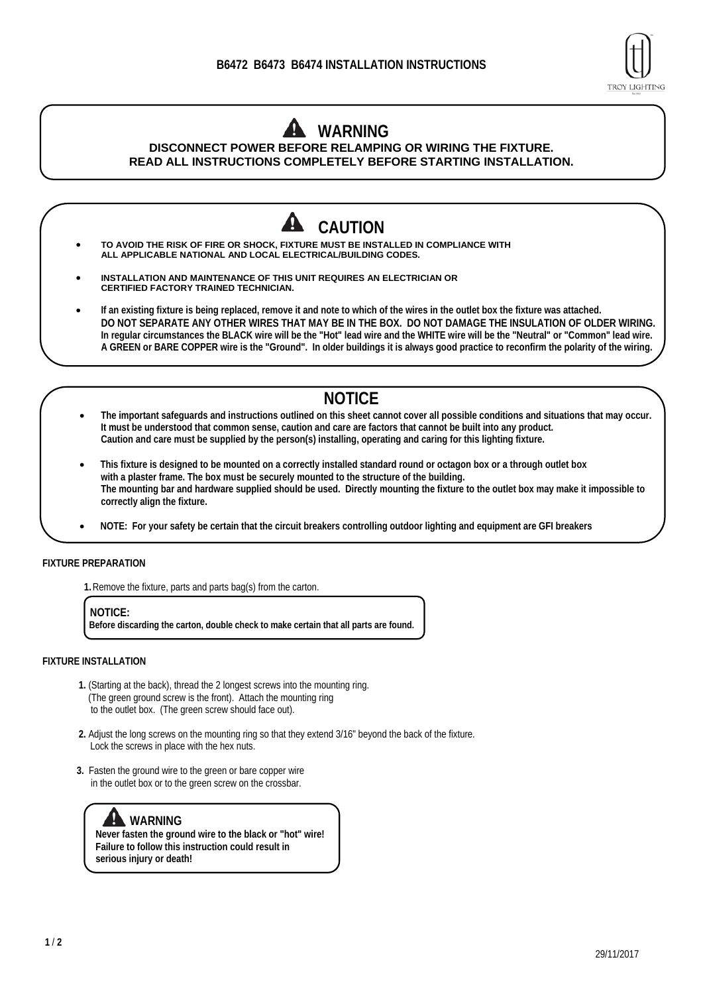

## **WARNING DISCONNECT POWER BEFORE RELAMPING OR WIRING THE FIXTURE. READ ALL INSTRUCTIONS COMPLETELY BEFORE STARTING INSTALLATION.**



- **The important safeguards and instructions outlined on this sheet cannot cover all possible conditions and situations that may occur. It must be understood that common sense, caution and care are factors that cannot be built into any product. Caution and care must be supplied by the person(s) installing, operating and caring for this lighting fixture.**
- **This fixture is designed to be mounted on a correctly installed standard round or octagon box or a through outlet box with a plaster frame. The box must be securely mounted to the structure of the building. The mounting bar and hardware supplied should be used. Directly mounting the fixture to the outlet box may make it impossible to correctly align the fixture.**
- **NOTE: For your safety be certain that the circuit breakers controlling outdoor lighting and equipment are GFI breakers**

## **FIXTURE PREPARATION**

**1.**Remove the fixture, parts and parts bag(s) from the carton.

**NOTICE: Before discarding the carton, double check to make certain that all parts are found.** 

## **FIXTURE INSTALLATION**

- **1.** (Starting at the back), thread the 2 longest screws into the mounting ring. (The green ground screw is the front). Attach the mounting ring to the outlet box. (The green screw should face out).
- **2.** Adjust the long screws on the mounting ring so that they extend 3/16" beyond the back of the fixture. Lock the screws in place with the hex nuts.
- **3.** Fasten the ground wire to the green or bare copper wire in the outlet box or to the green screw on the crossbar.

## **WARNING**

**Never fasten the ground wire to the black or "hot" wire! Failure to follow this instruction could result in serious injury or death!**